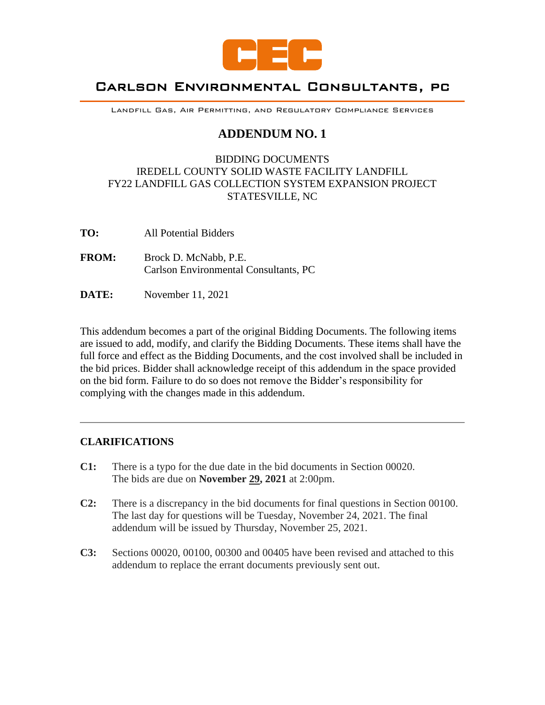

# Carlson Environmental Consultants, pc

Landfill Gas, Air Permitting, and Regulatory Compliance Services

# **ADDENDUM NO. 1**

# BIDDING DOCUMENTS IREDELL COUNTY SOLID WASTE FACILITY LANDFILL FY22 LANDFILL GAS COLLECTION SYSTEM EXPANSION PROJECT STATESVILLE, NC

- **TO:** All Potential Bidders
- **FROM:** Brock D. McNabb, P.E. Carlson Environmental Consultants, PC
- **DATE:** November 11, 2021

This addendum becomes a part of the original Bidding Documents. The following items are issued to add, modify, and clarify the Bidding Documents. These items shall have the full force and effect as the Bidding Documents, and the cost involved shall be included in the bid prices. Bidder shall acknowledge receipt of this addendum in the space provided on the bid form. Failure to do so does not remove the Bidder's responsibility for complying with the changes made in this addendum.

## **CLARIFICATIONS**

- **C1:** There is a typo for the due date in the bid documents in Section 00020. The bids are due on **November 29, 2021** at 2:00pm.
- **C2:** There is a discrepancy in the bid documents for final questions in Section 00100. The last day for questions will be Tuesday, November 24, 2021. The final addendum will be issued by Thursday, November 25, 2021.
- **C3:** Sections 00020, 00100, 00300 and 00405 have been revised and attached to this addendum to replace the errant documents previously sent out.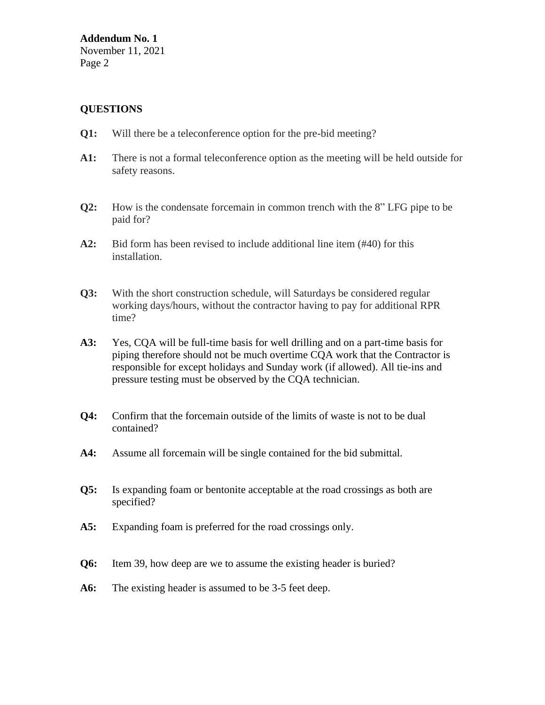**Addendum No. 1** November 11, 2021 Page 2

## **QUESTIONS**

- **Q1:** Will there be a teleconference option for the pre-bid meeting?
- **A1:** There is not a formal teleconference option as the meeting will be held outside for safety reasons.
- **Q2:** How is the condensate forcemain in common trench with the 8" LFG pipe to be paid for?
- **A2:** Bid form has been revised to include additional line item (#40) for this installation.
- **Q3:** With the short construction schedule, will Saturdays be considered regular working days/hours, without the contractor having to pay for additional RPR time?
- **A3:** Yes, CQA will be full-time basis for well drilling and on a part-time basis for piping therefore should not be much overtime CQA work that the Contractor is responsible for except holidays and Sunday work (if allowed). All tie-ins and pressure testing must be observed by the CQA technician.
- **Q4:** Confirm that the forcemain outside of the limits of waste is not to be dual contained?
- **A4:** Assume all forcemain will be single contained for the bid submittal.
- **Q5:** Is expanding foam or bentonite acceptable at the road crossings as both are specified?
- **A5:** Expanding foam is preferred for the road crossings only.
- **Q6:** Item 39, how deep are we to assume the existing header is buried?
- **A6:** The existing header is assumed to be 3-5 feet deep.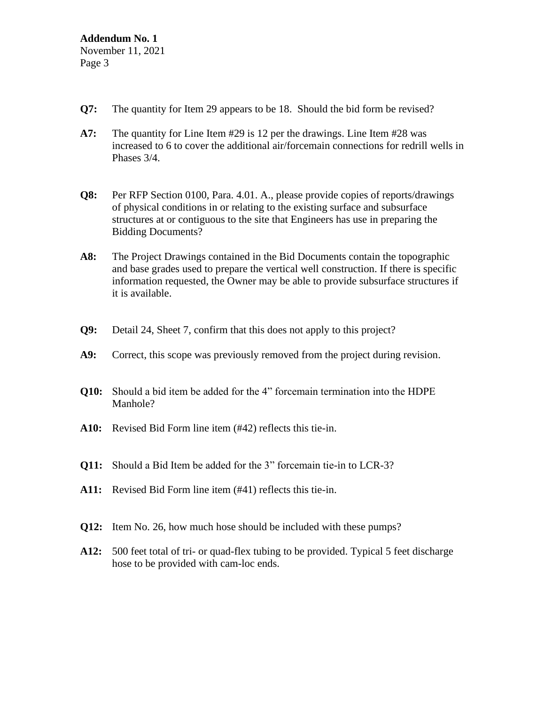- **Q7:** The quantity for Item 29 appears to be 18. Should the bid form be revised?
- **A7:** The quantity for Line Item #29 is 12 per the drawings. Line Item #28 was increased to 6 to cover the additional air/forcemain connections for redrill wells in Phases 3/4.
- **Q8:** Per RFP Section 0100, Para. 4.01. A., please provide copies of reports/drawings of physical conditions in or relating to the existing surface and subsurface structures at or contiguous to the site that Engineers has use in preparing the Bidding Documents?
- **A8:** The Project Drawings contained in the Bid Documents contain the topographic and base grades used to prepare the vertical well construction. If there is specific information requested, the Owner may be able to provide subsurface structures if it is available.
- **Q9:** Detail 24, Sheet 7, confirm that this does not apply to this project?
- **A9:** Correct, this scope was previously removed from the project during revision.
- **Q10:** Should a bid item be added for the 4" forcemain termination into the HDPE Manhole?
- **A10:** Revised Bid Form line item (#42) reflects this tie-in.
- **Q11:** Should a Bid Item be added for the 3" forcemain tie-in to LCR-3?
- **A11:** Revised Bid Form line item (#41) reflects this tie-in.
- **Q12:** Item No. 26, how much hose should be included with these pumps?
- **A12:** 500 feet total of tri- or quad-flex tubing to be provided. Typical 5 feet discharge hose to be provided with cam-loc ends.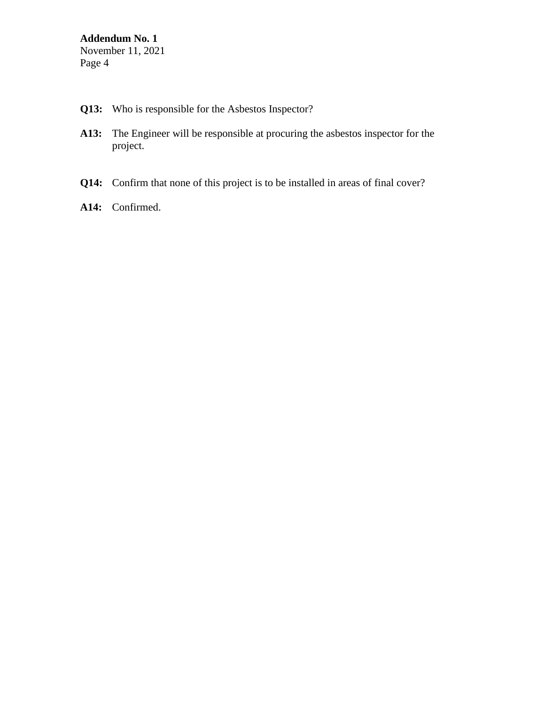- **Q13:** Who is responsible for the Asbestos Inspector?
- **A13:** The Engineer will be responsible at procuring the asbestos inspector for the project.
- **Q14:** Confirm that none of this project is to be installed in areas of final cover?
- **A14:** Confirmed.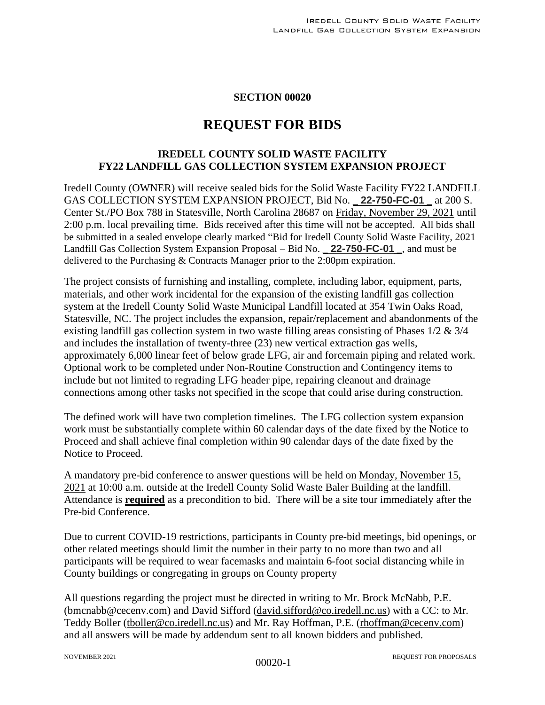#### **SECTION 00020**

# **REQUEST FOR BIDS**

# **IREDELL COUNTY SOLID WASTE FACILITY FY22 LANDFILL GAS COLLECTION SYSTEM EXPANSION PROJECT**

Iredell County (OWNER) will receive sealed bids for the Solid Waste Facility FY22 LANDFILL GAS COLLECTION SYSTEM EXPANSION PROJECT, Bid No. \_ **22-750-FC-01** \_ at 200 S. Center St./PO Box 788 in Statesville, North Carolina 28687 on Friday, November 29, 2021 until 2:00 p.m. local prevailing time. Bids received after this time will not be accepted. All bids shall be submitted in a sealed envelope clearly marked "Bid for Iredell County Solid Waste Facility, 2021 Landfill Gas Collection System Expansion Proposal – Bid No. \_ **22-750-FC-01** \_, and must be delivered to the Purchasing & Contracts Manager prior to the 2:00pm expiration.

The project consists of furnishing and installing, complete, including labor, equipment, parts, materials, and other work incidental for the expansion of the existing landfill gas collection system at the Iredell County Solid Waste Municipal Landfill located at 354 Twin Oaks Road, Statesville, NC. The project includes the expansion, repair/replacement and abandonments of the existing landfill gas collection system in two waste filling areas consisting of Phases 1/2 & 3/4 and includes the installation of twenty-three (23) new vertical extraction gas wells, approximately 6,000 linear feet of below grade LFG, air and forcemain piping and related work. Optional work to be completed under Non-Routine Construction and Contingency items to include but not limited to regrading LFG header pipe, repairing cleanout and drainage connections among other tasks not specified in the scope that could arise during construction.

The defined work will have two completion timelines. The LFG collection system expansion work must be substantially complete within 60 calendar days of the date fixed by the Notice to Proceed and shall achieve final completion within 90 calendar days of the date fixed by the Notice to Proceed.

A mandatory pre-bid conference to answer questions will be held on Monday, November 15, 2021 at 10:00 a.m. outside at the Iredell County Solid Waste Baler Building at the landfill. Attendance is **required** as a precondition to bid. There will be a site tour immediately after the Pre-bid Conference.

Due to current COVID-19 restrictions, participants in County pre-bid meetings, bid openings, or other related meetings should limit the number in their party to no more than two and all participants will be required to wear facemasks and maintain 6-foot social distancing while in County buildings or congregating in groups on County property

All questions regarding the project must be directed in writing to Mr. Brock McNabb, P.E. (bmcnabb@cecenv.com) and David Sifford [\(david.sifford@co.iredell.nc.us\)](mailto:david.sifford@co.iredell.nc.us) with a CC: to Mr. Teddy Boller [\(tboller@co.iredell.nc.us\)](mailto:tboller@co.iredell.nc.us) and Mr. Ray Hoffman, P.E. [\(rhoffman@cecenv.com\)](mailto:rhoffman@cecenv.com) and all answers will be made by addendum sent to all known bidders and published.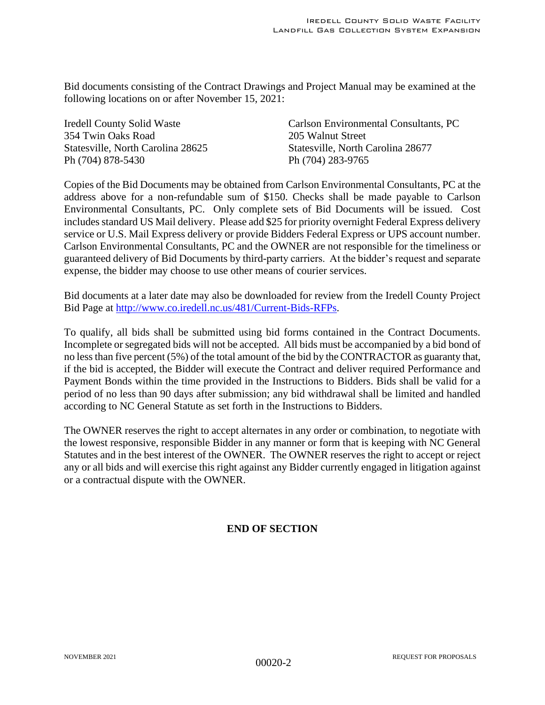Bid documents consisting of the Contract Drawings and Project Manual may be examined at the following locations on or after November 15, 2021:

354 Twin Oaks Road 205 Walnut Street Ph (704) 878-5430 Ph (704) 283-9765

Iredell County Solid Waste Carlson Environmental Consultants, PC Statesville, North Carolina 28625 Statesville, North Carolina 28677

Copies of the Bid Documents may be obtained from Carlson Environmental Consultants, PC at the address above for a non-refundable sum of \$150. Checks shall be made payable to Carlson Environmental Consultants, PC. Only complete sets of Bid Documents will be issued. Cost includes standard US Mail delivery. Please add \$25 for priority overnight Federal Express delivery service or U.S. Mail Express delivery or provide Bidders Federal Express or UPS account number. Carlson Environmental Consultants, PC and the OWNER are not responsible for the timeliness or guaranteed delivery of Bid Documents by third-party carriers. At the bidder's request and separate expense, the bidder may choose to use other means of courier services.

Bid documents at a later date may also be downloaded for review from the Iredell County Project Bid Page at [http://www.co.iredell.nc.us/481/Current-Bids-RFPs.](http://www.co.iredell.nc.us/481/Current-Bids-RFPs)

To qualify, all bids shall be submitted using bid forms contained in the Contract Documents. Incomplete or segregated bids will not be accepted. All bids must be accompanied by a bid bond of no less than five percent (5%) of the total amount of the bid by the CONTRACTOR as guaranty that, if the bid is accepted, the Bidder will execute the Contract and deliver required Performance and Payment Bonds within the time provided in the Instructions to Bidders. Bids shall be valid for a period of no less than 90 days after submission; any bid withdrawal shall be limited and handled according to NC General Statute as set forth in the Instructions to Bidders.

The OWNER reserves the right to accept alternates in any order or combination, to negotiate with the lowest responsive, responsible Bidder in any manner or form that is keeping with NC General Statutes and in the best interest of the OWNER. The OWNER reserves the right to accept or reject any or all bids and will exercise this right against any Bidder currently engaged in litigation against or a contractual dispute with the OWNER.

# **END OF SECTION**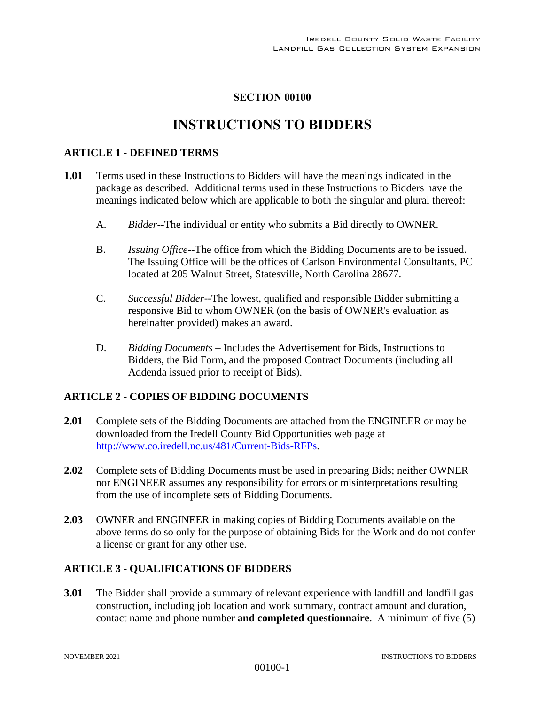# **SECTION 00100**

# **INSTRUCTIONS TO BIDDERS**

#### **ARTICLE 1 - DEFINED TERMS**

- **1.01** Terms used in these Instructions to Bidders will have the meanings indicated in the package as described. Additional terms used in these Instructions to Bidders have the meanings indicated below which are applicable to both the singular and plural thereof:
	- A. *Bidder--*The individual or entity who submits a Bid directly to OWNER.
	- B. *Issuing Office--*The office from which the Bidding Documents are to be issued. The Issuing Office will be the offices of Carlson Environmental Consultants, PC located at 205 Walnut Street, Statesville, North Carolina 28677.
	- C. *Successful Bidder--*The lowest, qualified and responsible Bidder submitting a responsive Bid to whom OWNER (on the basis of OWNER's evaluation as hereinafter provided) makes an award.
	- D. *Bidding Documents* Includes the Advertisement for Bids, Instructions to Bidders, the Bid Form, and the proposed Contract Documents (including all Addenda issued prior to receipt of Bids).

## **ARTICLE 2 - COPIES OF BIDDING DOCUMENTS**

- **2.01** Complete sets of the Bidding Documents are attached from the ENGINEER or may be downloaded from the Iredell County Bid Opportunities web page at [http://www.co.iredell.nc.us/481/Current-Bids-RFPs.](http://www.co.iredell.nc.us/481/Current-Bids-RFPs)
- **2.02** Complete sets of Bidding Documents must be used in preparing Bids; neither OWNER nor ENGINEER assumes any responsibility for errors or misinterpretations resulting from the use of incomplete sets of Bidding Documents.
- **2.03** OWNER and ENGINEER in making copies of Bidding Documents available on the above terms do so only for the purpose of obtaining Bids for the Work and do not confer a license or grant for any other use.

## **ARTICLE 3 - QUALIFICATIONS OF BIDDERS**

**3.01** The Bidder shall provide a summary of relevant experience with landfill and landfill gas construction, including job location and work summary, contract amount and duration, contact name and phone number **and completed questionnaire**. A minimum of five (5)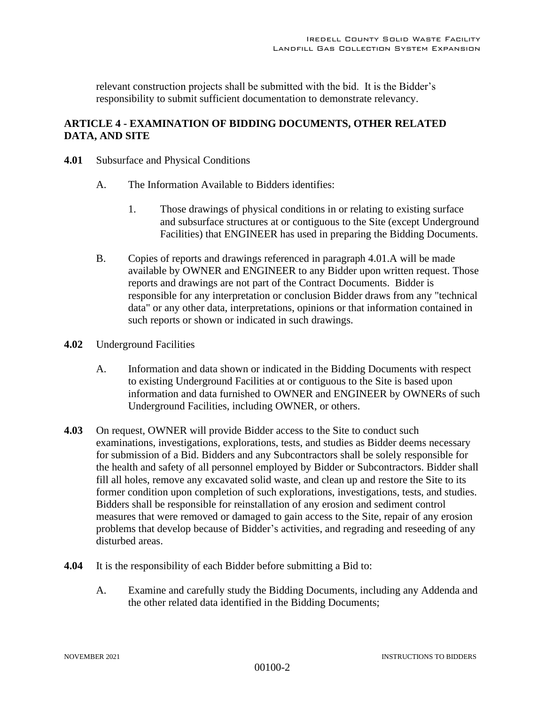relevant construction projects shall be submitted with the bid. It is the Bidder's responsibility to submit sufficient documentation to demonstrate relevancy.

# **ARTICLE 4 - EXAMINATION OF BIDDING DOCUMENTS, OTHER RELATED DATA, AND SITE**

- **4.01** Subsurface and Physical Conditions
	- A. The Information Available to Bidders identifies:
		- 1. Those drawings of physical conditions in or relating to existing surface and subsurface structures at or contiguous to the Site (except Underground Facilities) that ENGINEER has used in preparing the Bidding Documents.
	- B. Copies of reports and drawings referenced in paragraph 4.01.A will be made available by OWNER and ENGINEER to any Bidder upon written request. Those reports and drawings are not part of the Contract Documents. Bidder is responsible for any interpretation or conclusion Bidder draws from any "technical data" or any other data, interpretations, opinions or that information contained in such reports or shown or indicated in such drawings.
- **4.02** Underground Facilities
	- A. Information and data shown or indicated in the Bidding Documents with respect to existing Underground Facilities at or contiguous to the Site is based upon information and data furnished to OWNER and ENGINEER by OWNERs of such Underground Facilities, including OWNER, or others.
- **4.03** On request, OWNER will provide Bidder access to the Site to conduct such examinations, investigations, explorations, tests, and studies as Bidder deems necessary for submission of a Bid. Bidders and any Subcontractors shall be solely responsible for the health and safety of all personnel employed by Bidder or Subcontractors. Bidder shall fill all holes, remove any excavated solid waste, and clean up and restore the Site to its former condition upon completion of such explorations, investigations, tests, and studies. Bidders shall be responsible for reinstallation of any erosion and sediment control measures that were removed or damaged to gain access to the Site, repair of any erosion problems that develop because of Bidder's activities, and regrading and reseeding of any disturbed areas.
- **4.04** It is the responsibility of each Bidder before submitting a Bid to:
	- A. Examine and carefully study the Bidding Documents, including any Addenda and the other related data identified in the Bidding Documents;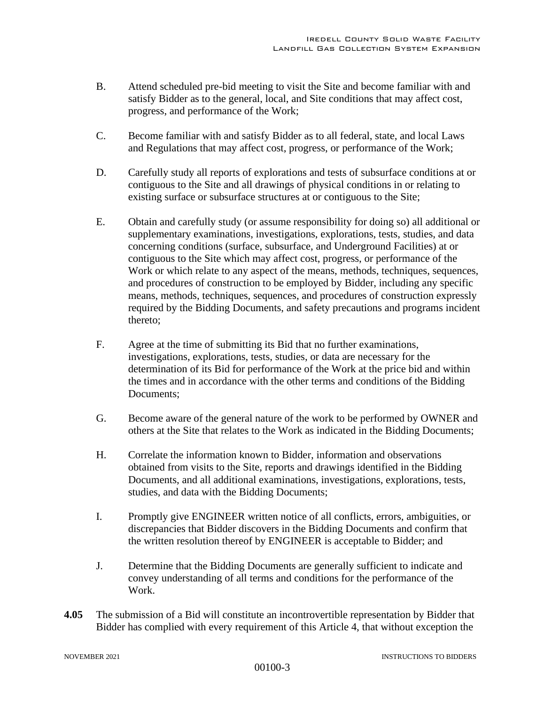- B. Attend scheduled pre-bid meeting to visit the Site and become familiar with and satisfy Bidder as to the general, local, and Site conditions that may affect cost, progress, and performance of the Work;
- C. Become familiar with and satisfy Bidder as to all federal, state, and local Laws and Regulations that may affect cost, progress, or performance of the Work;
- D. Carefully study all reports of explorations and tests of subsurface conditions at or contiguous to the Site and all drawings of physical conditions in or relating to existing surface or subsurface structures at or contiguous to the Site;
- E. Obtain and carefully study (or assume responsibility for doing so) all additional or supplementary examinations, investigations, explorations, tests, studies, and data concerning conditions (surface, subsurface, and Underground Facilities) at or contiguous to the Site which may affect cost, progress, or performance of the Work or which relate to any aspect of the means, methods, techniques, sequences, and procedures of construction to be employed by Bidder, including any specific means, methods, techniques, sequences, and procedures of construction expressly required by the Bidding Documents, and safety precautions and programs incident thereto;
- F. Agree at the time of submitting its Bid that no further examinations, investigations, explorations, tests, studies, or data are necessary for the determination of its Bid for performance of the Work at the price bid and within the times and in accordance with the other terms and conditions of the Bidding Documents;
- G. Become aware of the general nature of the work to be performed by OWNER and others at the Site that relates to the Work as indicated in the Bidding Documents;
- H. Correlate the information known to Bidder, information and observations obtained from visits to the Site, reports and drawings identified in the Bidding Documents, and all additional examinations, investigations, explorations, tests, studies, and data with the Bidding Documents;
- I. Promptly give ENGINEER written notice of all conflicts, errors, ambiguities, or discrepancies that Bidder discovers in the Bidding Documents and confirm that the written resolution thereof by ENGINEER is acceptable to Bidder; and
- J. Determine that the Bidding Documents are generally sufficient to indicate and convey understanding of all terms and conditions for the performance of the Work.
- **4.05** The submission of a Bid will constitute an incontrovertible representation by Bidder that Bidder has complied with every requirement of this Article 4, that without exception the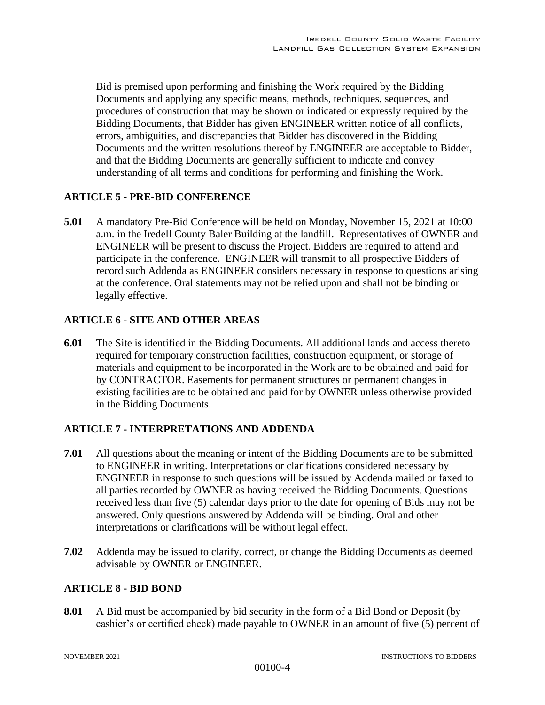Bid is premised upon performing and finishing the Work required by the Bidding Documents and applying any specific means, methods, techniques, sequences, and procedures of construction that may be shown or indicated or expressly required by the Bidding Documents, that Bidder has given ENGINEER written notice of all conflicts, errors, ambiguities, and discrepancies that Bidder has discovered in the Bidding Documents and the written resolutions thereof by ENGINEER are acceptable to Bidder, and that the Bidding Documents are generally sufficient to indicate and convey understanding of all terms and conditions for performing and finishing the Work.

#### **ARTICLE 5 - PRE-BID CONFERENCE**

**5.01** A mandatory Pre-Bid Conference will be held on Monday, November 15, 2021 at 10:00 a.m. in the Iredell County Baler Building at the landfill. Representatives of OWNER and ENGINEER will be present to discuss the Project. Bidders are required to attend and participate in the conference. ENGINEER will transmit to all prospective Bidders of record such Addenda as ENGINEER considers necessary in response to questions arising at the conference. Oral statements may not be relied upon and shall not be binding or legally effective.

## **ARTICLE 6 - SITE AND OTHER AREAS**

**6.01** The Site is identified in the Bidding Documents. All additional lands and access thereto required for temporary construction facilities, construction equipment, or storage of materials and equipment to be incorporated in the Work are to be obtained and paid for by CONTRACTOR. Easements for permanent structures or permanent changes in existing facilities are to be obtained and paid for by OWNER unless otherwise provided in the Bidding Documents.

#### **ARTICLE 7 - INTERPRETATIONS AND ADDENDA**

- **7.01** All questions about the meaning or intent of the Bidding Documents are to be submitted to ENGINEER in writing. Interpretations or clarifications considered necessary by ENGINEER in response to such questions will be issued by Addenda mailed or faxed to all parties recorded by OWNER as having received the Bidding Documents. Questions received less than five (5) calendar days prior to the date for opening of Bids may not be answered. Only questions answered by Addenda will be binding. Oral and other interpretations or clarifications will be without legal effect.
- **7.02** Addenda may be issued to clarify, correct, or change the Bidding Documents as deemed advisable by OWNER or ENGINEER.

## **ARTICLE 8 - BID BOND**

**8.01** A Bid must be accompanied by bid security in the form of a Bid Bond or Deposit (by cashier's or certified check) made payable to OWNER in an amount of five (5) percent of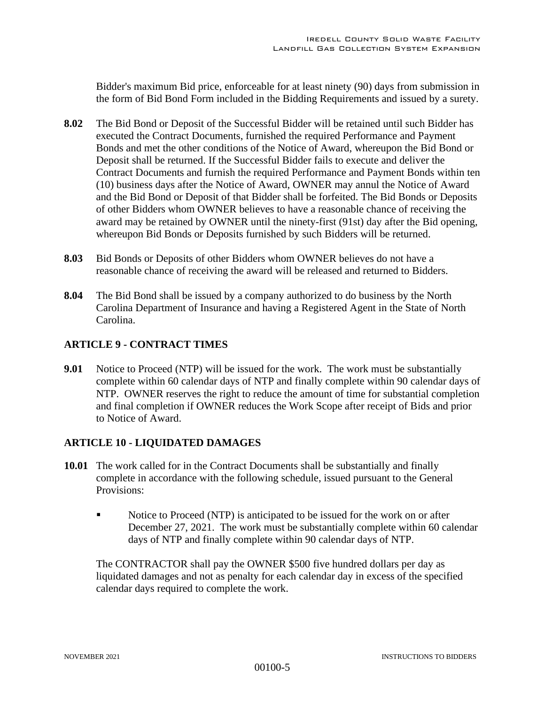Bidder's maximum Bid price, enforceable for at least ninety (90) days from submission in the form of Bid Bond Form included in the Bidding Requirements and issued by a surety.

- **8.02** The Bid Bond or Deposit of the Successful Bidder will be retained until such Bidder has executed the Contract Documents, furnished the required Performance and Payment Bonds and met the other conditions of the Notice of Award, whereupon the Bid Bond or Deposit shall be returned. If the Successful Bidder fails to execute and deliver the Contract Documents and furnish the required Performance and Payment Bonds within ten (10) business days after the Notice of Award, OWNER may annul the Notice of Award and the Bid Bond or Deposit of that Bidder shall be forfeited. The Bid Bonds or Deposits of other Bidders whom OWNER believes to have a reasonable chance of receiving the award may be retained by OWNER until the ninety-first (91st) day after the Bid opening, whereupon Bid Bonds or Deposits furnished by such Bidders will be returned.
- **8.03** Bid Bonds or Deposits of other Bidders whom OWNER believes do not have a reasonable chance of receiving the award will be released and returned to Bidders.
- **8.04** The Bid Bond shall be issued by a company authorized to do business by the North Carolina Department of Insurance and having a Registered Agent in the State of North Carolina.

## **ARTICLE 9 - CONTRACT TIMES**

**9.01** Notice to Proceed (NTP) will be issued for the work. The work must be substantially complete within 60 calendar days of NTP and finally complete within 90 calendar days of NTP. OWNER reserves the right to reduce the amount of time for substantial completion and final completion if OWNER reduces the Work Scope after receipt of Bids and prior to Notice of Award.

## **ARTICLE 10 - LIQUIDATED DAMAGES**

- **10.01** The work called for in the Contract Documents shall be substantially and finally complete in accordance with the following schedule, issued pursuant to the General Provisions:
	- Notice to Proceed (NTP) is anticipated to be issued for the work on or after December 27, 2021. The work must be substantially complete within 60 calendar days of NTP and finally complete within 90 calendar days of NTP.

The CONTRACTOR shall pay the OWNER \$500 five hundred dollars per day as liquidated damages and not as penalty for each calendar day in excess of the specified calendar days required to complete the work.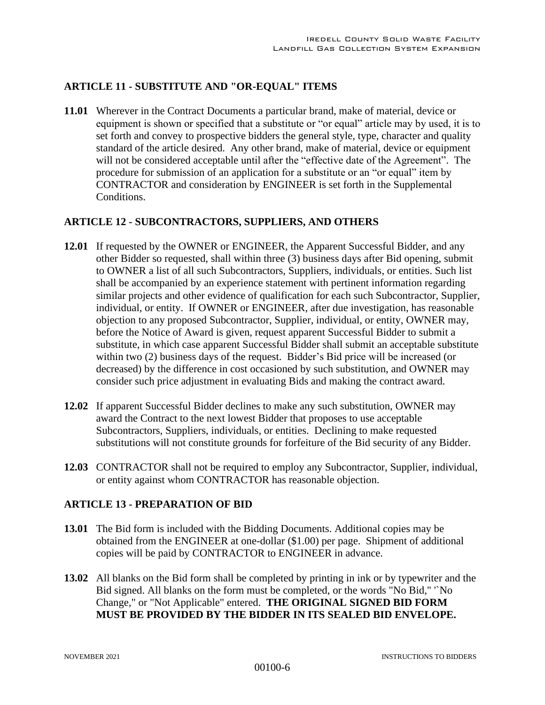# **ARTICLE 11 - SUBSTITUTE AND "OR-EQUAL" ITEMS**

**11.01** Wherever in the Contract Documents a particular brand, make of material, device or equipment is shown or specified that a substitute or "or equal" article may by used, it is to set forth and convey to prospective bidders the general style, type, character and quality standard of the article desired. Any other brand, make of material, device or equipment will not be considered acceptable until after the "effective date of the Agreement". The procedure for submission of an application for a substitute or an "or equal" item by CONTRACTOR and consideration by ENGINEER is set forth in the Supplemental Conditions.

#### **ARTICLE 12 - SUBCONTRACTORS, SUPPLIERS, AND OTHERS**

- **12.01** If requested by the OWNER or ENGINEER, the Apparent Successful Bidder, and any other Bidder so requested, shall within three (3) business days after Bid opening, submit to OWNER a list of all such Subcontractors, Suppliers, individuals, or entities. Such list shall be accompanied by an experience statement with pertinent information regarding similar projects and other evidence of qualification for each such Subcontractor, Supplier, individual, or entity. If OWNER or ENGINEER, after due investigation, has reasonable objection to any proposed Subcontractor, Supplier, individual, or entity, OWNER may, before the Notice of Award is given, request apparent Successful Bidder to submit a substitute, in which case apparent Successful Bidder shall submit an acceptable substitute within two (2) business days of the request. Bidder's Bid price will be increased (or decreased) by the difference in cost occasioned by such substitution, and OWNER may consider such price adjustment in evaluating Bids and making the contract award.
- **12.02** If apparent Successful Bidder declines to make any such substitution, OWNER may award the Contract to the next lowest Bidder that proposes to use acceptable Subcontractors, Suppliers, individuals, or entities. Declining to make requested substitutions will not constitute grounds for forfeiture of the Bid security of any Bidder.
- **12.03** CONTRACTOR shall not be required to employ any Subcontractor, Supplier, individual, or entity against whom CONTRACTOR has reasonable objection.

## **ARTICLE 13 - PREPARATION OF BID**

- **13.01** The Bid form is included with the Bidding Documents. Additional copies may be obtained from the ENGINEER at one-dollar (\$1.00) per page. Shipment of additional copies will be paid by CONTRACTOR to ENGINEER in advance.
- **13.02** All blanks on the Bid form shall be completed by printing in ink or by typewriter and the Bid signed. All blanks on the form must be completed, or the words "No Bid," '`No Change," or "Not Applicable" entered. **THE ORIGINAL SIGNED BID FORM MUST BE PROVIDED BY THE BIDDER IN ITS SEALED BID ENVELOPE.**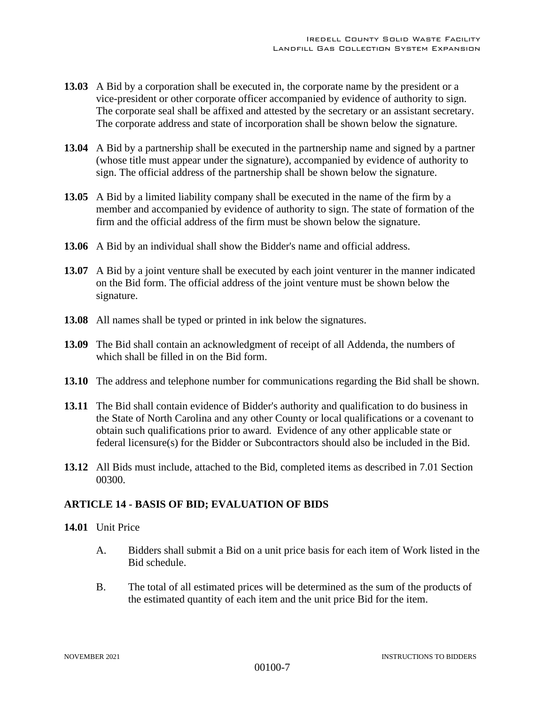- **13.03** A Bid by a corporation shall be executed in, the corporate name by the president or a vice-president or other corporate officer accompanied by evidence of authority to sign. The corporate seal shall be affixed and attested by the secretary or an assistant secretary. The corporate address and state of incorporation shall be shown below the signature.
- **13.04** A Bid by a partnership shall be executed in the partnership name and signed by a partner (whose title must appear under the signature), accompanied by evidence of authority to sign. The official address of the partnership shall be shown below the signature.
- **13.05** A Bid by a limited liability company shall be executed in the name of the firm by a member and accompanied by evidence of authority to sign. The state of formation of the firm and the official address of the firm must be shown below the signature.
- **13.06** A Bid by an individual shall show the Bidder's name and official address.
- **13.07** A Bid by a joint venture shall be executed by each joint venturer in the manner indicated on the Bid form. The official address of the joint venture must be shown below the signature.
- **13.08** All names shall be typed or printed in ink below the signatures.
- **13.09** The Bid shall contain an acknowledgment of receipt of all Addenda, the numbers of which shall be filled in on the Bid form.
- **13.10** The address and telephone number for communications regarding the Bid shall be shown.
- **13.11** The Bid shall contain evidence of Bidder's authority and qualification to do business in the State of North Carolina and any other County or local qualifications or a covenant to obtain such qualifications prior to award. Evidence of any other applicable state or federal licensure(s) for the Bidder or Subcontractors should also be included in the Bid.
- **13.12** All Bids must include, attached to the Bid, completed items as described in 7.01 Section 00300.

## **ARTICLE 14 - BASIS OF BID; EVALUATION OF BIDS**

#### **14.01** Unit Price

- A. Bidders shall submit a Bid on a unit price basis for each item of Work listed in the Bid schedule.
- B. The total of all estimated prices will be determined as the sum of the products of the estimated quantity of each item and the unit price Bid for the item.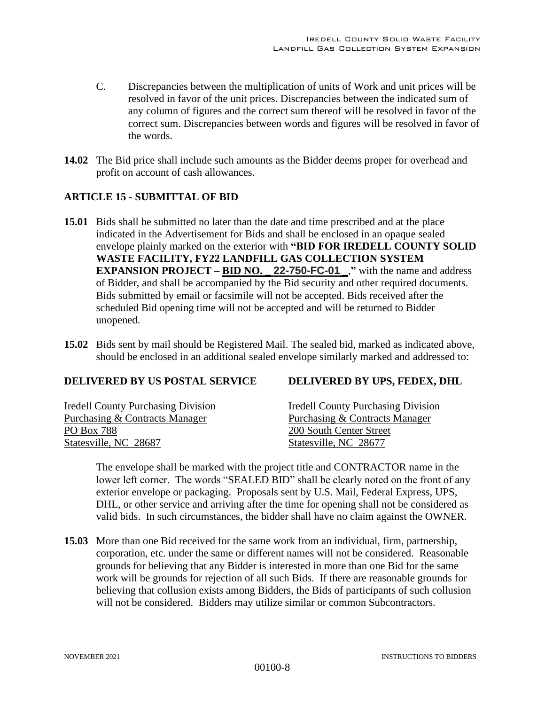- C. Discrepancies between the multiplication of units of Work and unit prices will be resolved in favor of the unit prices. Discrepancies between the indicated sum of any column of figures and the correct sum thereof will be resolved in favor of the correct sum. Discrepancies between words and figures will be resolved in favor of the words.
- **14.02** The Bid price shall include such amounts as the Bidder deems proper for overhead and profit on account of cash allowances.

# **ARTICLE 15 - SUBMITTAL OF BID**

- **15.01** Bids shall be submitted no later than the date and time prescribed and at the place indicated in the Advertisement for Bids and shall be enclosed in an opaque sealed envelope plainly marked on the exterior with **"BID FOR IREDELL COUNTY SOLID WASTE FACILITY, FY22 LANDFILL GAS COLLECTION SYSTEM EXPANSION PROJECT – BID NO.**  $\angle$  **22-750-FC-01**  $\angle$ **,** with the name and address of Bidder, and shall be accompanied by the Bid security and other required documents. Bids submitted by email or facsimile will not be accepted. Bids received after the scheduled Bid opening time will not be accepted and will be returned to Bidder unopened.
- **15.02** Bids sent by mail should be Registered Mail. The sealed bid, marked as indicated above, should be enclosed in an additional sealed envelope similarly marked and addressed to:

# **DELIVERED BY US POSTAL SERVICE DELIVERED BY UPS, FEDEX, DHL**

| <b>Iredell County Purchasing Division</b> | <b>Iredell County Purchasing Division</b> |
|-------------------------------------------|-------------------------------------------|
|                                           |                                           |
| Purchasing & Contracts Manager            | Purchasing & Contracts Manager            |
| PO Box 788                                | 200 South Center Street                   |
| Statesville, NC 28687                     | Statesville, NC 28677                     |

The envelope shall be marked with the project title and CONTRACTOR name in the lower left corner. The words "SEALED BID" shall be clearly noted on the front of any exterior envelope or packaging. Proposals sent by U.S. Mail, Federal Express, UPS, DHL, or other service and arriving after the time for opening shall not be considered as valid bids. In such circumstances, the bidder shall have no claim against the OWNER.

**15.03** More than one Bid received for the same work from an individual, firm, partnership, corporation, etc. under the same or different names will not be considered. Reasonable grounds for believing that any Bidder is interested in more than one Bid for the same work will be grounds for rejection of all such Bids. If there are reasonable grounds for believing that collusion exists among Bidders, the Bids of participants of such collusion will not be considered. Bidders may utilize similar or common Subcontractors.

#### NOVEMBER 2021 INSTRUCTIONS TO BIDDERS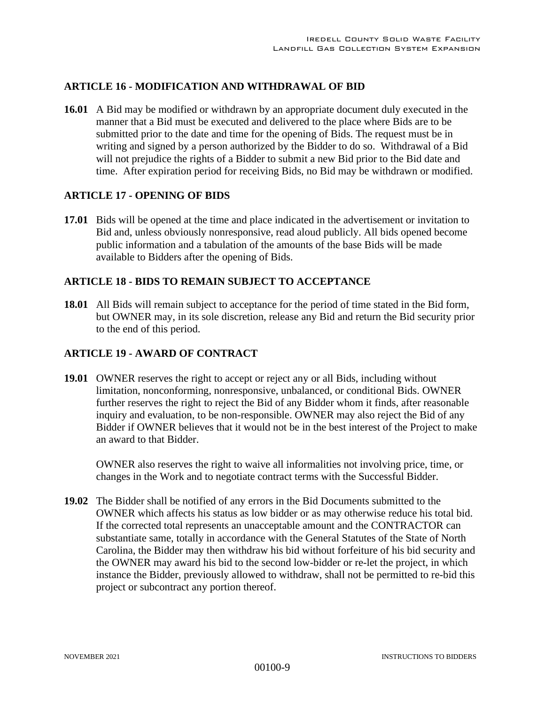## **ARTICLE 16 - MODIFICATION AND WITHDRAWAL OF BID**

**16.01** A Bid may be modified or withdrawn by an appropriate document duly executed in the manner that a Bid must be executed and delivered to the place where Bids are to be submitted prior to the date and time for the opening of Bids. The request must be in writing and signed by a person authorized by the Bidder to do so. Withdrawal of a Bid will not prejudice the rights of a Bidder to submit a new Bid prior to the Bid date and time. After expiration period for receiving Bids, no Bid may be withdrawn or modified.

#### **ARTICLE 17 - OPENING OF BIDS**

**17.01** Bids will be opened at the time and place indicated in the advertisement or invitation to Bid and, unless obviously nonresponsive, read aloud publicly. All bids opened become public information and a tabulation of the amounts of the base Bids will be made available to Bidders after the opening of Bids.

#### **ARTICLE 18 - BIDS TO REMAIN SUBJECT TO ACCEPTANCE**

**18.01** All Bids will remain subject to acceptance for the period of time stated in the Bid form, but OWNER may, in its sole discretion, release any Bid and return the Bid security prior to the end of this period.

#### **ARTICLE 19 - AWARD OF CONTRACT**

**19.01** OWNER reserves the right to accept or reject any or all Bids, including without limitation, nonconforming, nonresponsive, unbalanced, or conditional Bids. OWNER further reserves the right to reject the Bid of any Bidder whom it finds, after reasonable inquiry and evaluation, to be non-responsible. OWNER may also reject the Bid of any Bidder if OWNER believes that it would not be in the best interest of the Project to make an award to that Bidder.

OWNER also reserves the right to waive all informalities not involving price, time, or changes in the Work and to negotiate contract terms with the Successful Bidder.

**19.02** The Bidder shall be notified of any errors in the Bid Documents submitted to the OWNER which affects his status as low bidder or as may otherwise reduce his total bid. If the corrected total represents an unacceptable amount and the CONTRACTOR can substantiate same, totally in accordance with the General Statutes of the State of North Carolina, the Bidder may then withdraw his bid without forfeiture of his bid security and the OWNER may award his bid to the second low-bidder or re-let the project, in which instance the Bidder, previously allowed to withdraw, shall not be permitted to re-bid this project or subcontract any portion thereof.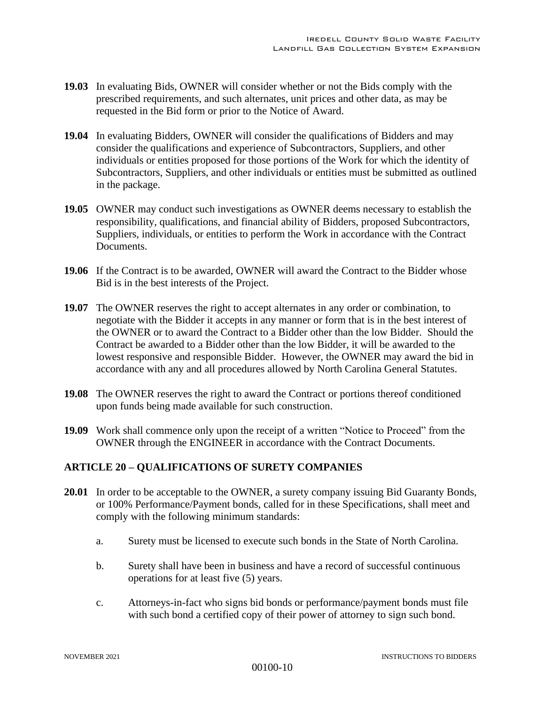- **19.03** In evaluating Bids, OWNER will consider whether or not the Bids comply with the prescribed requirements, and such alternates, unit prices and other data, as may be requested in the Bid form or prior to the Notice of Award.
- **19.04** In evaluating Bidders, OWNER will consider the qualifications of Bidders and may consider the qualifications and experience of Subcontractors, Suppliers, and other individuals or entities proposed for those portions of the Work for which the identity of Subcontractors, Suppliers, and other individuals or entities must be submitted as outlined in the package.
- **19.05** OWNER may conduct such investigations as OWNER deems necessary to establish the responsibility, qualifications, and financial ability of Bidders, proposed Subcontractors, Suppliers, individuals, or entities to perform the Work in accordance with the Contract Documents.
- **19.06** If the Contract is to be awarded, OWNER will award the Contract to the Bidder whose Bid is in the best interests of the Project.
- **19.07** The OWNER reserves the right to accept alternates in any order or combination, to negotiate with the Bidder it accepts in any manner or form that is in the best interest of the OWNER or to award the Contract to a Bidder other than the low Bidder. Should the Contract be awarded to a Bidder other than the low Bidder, it will be awarded to the lowest responsive and responsible Bidder. However, the OWNER may award the bid in accordance with any and all procedures allowed by North Carolina General Statutes.
- **19.08** The OWNER reserves the right to award the Contract or portions thereof conditioned upon funds being made available for such construction.
- **19.09** Work shall commence only upon the receipt of a written "Notice to Proceed" from the OWNER through the ENGINEER in accordance with the Contract Documents.

## **ARTICLE 20 – QUALIFICATIONS OF SURETY COMPANIES**

- **20.01** In order to be acceptable to the OWNER, a surety company issuing Bid Guaranty Bonds, or 100% Performance/Payment bonds, called for in these Specifications, shall meet and comply with the following minimum standards:
	- a. Surety must be licensed to execute such bonds in the State of North Carolina.
	- b. Surety shall have been in business and have a record of successful continuous operations for at least five (5) years.
	- c. Attorneys-in-fact who signs bid bonds or performance/payment bonds must file with such bond a certified copy of their power of attorney to sign such bond.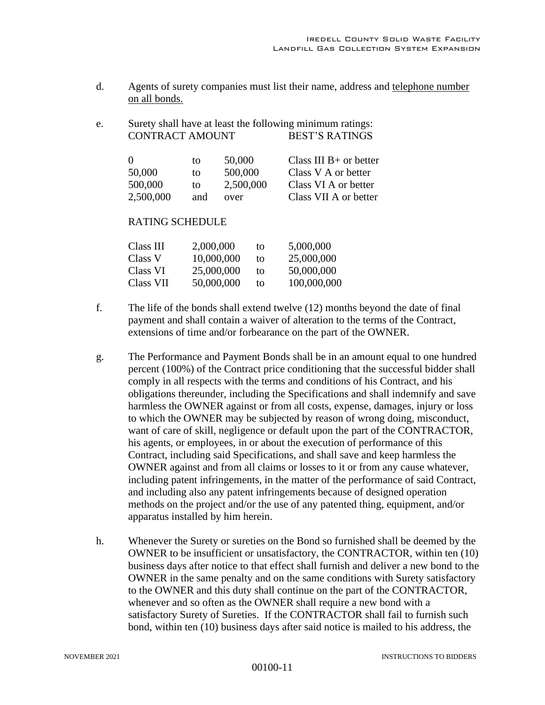- d. Agents of surety companies must list their name, address and telephone number on all bonds.
- e. Surety shall have at least the following minimum ratings: CONTRACT AMOUNT BEST'S RATINGS

| $\Omega$  | tΩ  | 50,000    | Class III $B+$ or better |
|-----------|-----|-----------|--------------------------|
| 50,000    | to  | 500,000   | Class V A or better      |
| 500,000   | to  | 2,500,000 | Class VI A or better     |
| 2,500,000 | and | over      | Class VII A or better    |

#### RATING SCHEDULE

| Class III | 2,000,000  | to | 5,000,000   |
|-----------|------------|----|-------------|
| Class V   | 10,000,000 | tο | 25,000,000  |
| Class VI  | 25,000,000 | to | 50,000,000  |
| Class VII | 50,000,000 | tο | 100,000,000 |

- f. The life of the bonds shall extend twelve (12) months beyond the date of final payment and shall contain a waiver of alteration to the terms of the Contract, extensions of time and/or forbearance on the part of the OWNER.
- g. The Performance and Payment Bonds shall be in an amount equal to one hundred percent (100%) of the Contract price conditioning that the successful bidder shall comply in all respects with the terms and conditions of his Contract, and his obligations thereunder, including the Specifications and shall indemnify and save harmless the OWNER against or from all costs, expense, damages, injury or loss to which the OWNER may be subjected by reason of wrong doing, misconduct, want of care of skill, negligence or default upon the part of the CONTRACTOR, his agents, or employees, in or about the execution of performance of this Contract, including said Specifications, and shall save and keep harmless the OWNER against and from all claims or losses to it or from any cause whatever, including patent infringements, in the matter of the performance of said Contract, and including also any patent infringements because of designed operation methods on the project and/or the use of any patented thing, equipment, and/or apparatus installed by him herein.
- h. Whenever the Surety or sureties on the Bond so furnished shall be deemed by the OWNER to be insufficient or unsatisfactory, the CONTRACTOR, within ten (10) business days after notice to that effect shall furnish and deliver a new bond to the OWNER in the same penalty and on the same conditions with Surety satisfactory to the OWNER and this duty shall continue on the part of the CONTRACTOR, whenever and so often as the OWNER shall require a new bond with a satisfactory Surety of Sureties. If the CONTRACTOR shall fail to furnish such bond, within ten (10) business days after said notice is mailed to his address, the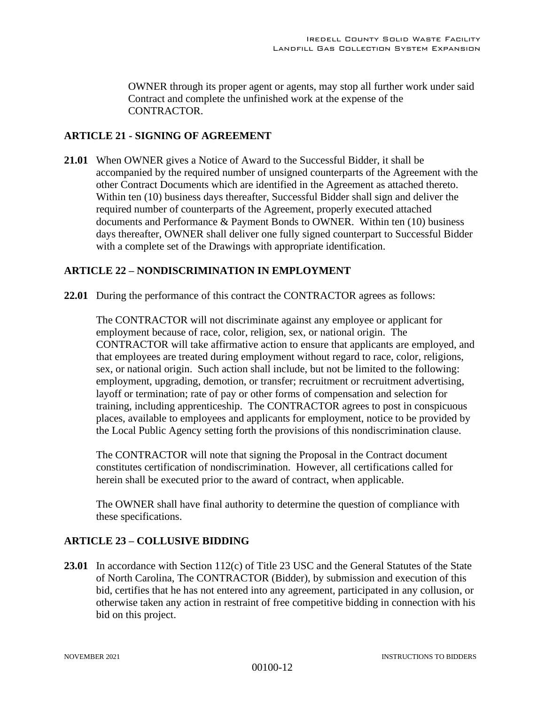OWNER through its proper agent or agents, may stop all further work under said Contract and complete the unfinished work at the expense of the CONTRACTOR.

# **ARTICLE 21 - SIGNING OF AGREEMENT**

**21.01** When OWNER gives a Notice of Award to the Successful Bidder, it shall be accompanied by the required number of unsigned counterparts of the Agreement with the other Contract Documents which are identified in the Agreement as attached thereto. Within ten (10) business days thereafter, Successful Bidder shall sign and deliver the required number of counterparts of the Agreement, properly executed attached documents and Performance & Payment Bonds to OWNER. Within ten (10) business days thereafter, OWNER shall deliver one fully signed counterpart to Successful Bidder with a complete set of the Drawings with appropriate identification.

# **ARTICLE 22 – NONDISCRIMINATION IN EMPLOYMENT**

**22.01** During the performance of this contract the CONTRACTOR agrees as follows:

The CONTRACTOR will not discriminate against any employee or applicant for employment because of race, color, religion, sex, or national origin. The CONTRACTOR will take affirmative action to ensure that applicants are employed, and that employees are treated during employment without regard to race, color, religions, sex, or national origin. Such action shall include, but not be limited to the following: employment, upgrading, demotion, or transfer; recruitment or recruitment advertising, layoff or termination; rate of pay or other forms of compensation and selection for training, including apprenticeship. The CONTRACTOR agrees to post in conspicuous places, available to employees and applicants for employment, notice to be provided by the Local Public Agency setting forth the provisions of this nondiscrimination clause.

The CONTRACTOR will note that signing the Proposal in the Contract document constitutes certification of nondiscrimination. However, all certifications called for herein shall be executed prior to the award of contract, when applicable.

The OWNER shall have final authority to determine the question of compliance with these specifications.

# **ARTICLE 23 – COLLUSIVE BIDDING**

**23.01** In accordance with Section 112(c) of Title 23 USC and the General Statutes of the State of North Carolina, The CONTRACTOR (Bidder), by submission and execution of this bid, certifies that he has not entered into any agreement, participated in any collusion, or otherwise taken any action in restraint of free competitive bidding in connection with his bid on this project.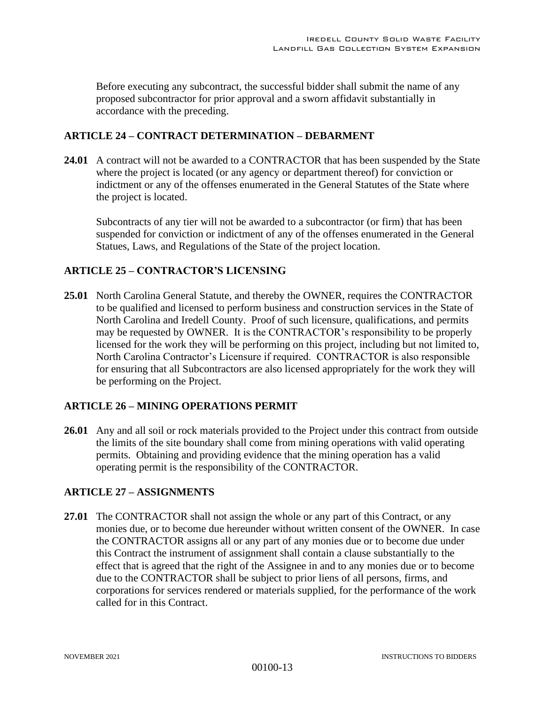Before executing any subcontract, the successful bidder shall submit the name of any proposed subcontractor for prior approval and a sworn affidavit substantially in accordance with the preceding.

#### **ARTICLE 24 – CONTRACT DETERMINATION – DEBARMENT**

**24.01** A contract will not be awarded to a CONTRACTOR that has been suspended by the State where the project is located (or any agency or department thereof) for conviction or indictment or any of the offenses enumerated in the General Statutes of the State where the project is located.

Subcontracts of any tier will not be awarded to a subcontractor (or firm) that has been suspended for conviction or indictment of any of the offenses enumerated in the General Statues, Laws, and Regulations of the State of the project location.

## **ARTICLE 25 – CONTRACTOR'S LICENSING**

**25.01** North Carolina General Statute, and thereby the OWNER, requires the CONTRACTOR to be qualified and licensed to perform business and construction services in the State of North Carolina and Iredell County. Proof of such licensure, qualifications, and permits may be requested by OWNER. It is the CONTRACTOR's responsibility to be properly licensed for the work they will be performing on this project, including but not limited to, North Carolina Contractor's Licensure if required. CONTRACTOR is also responsible for ensuring that all Subcontractors are also licensed appropriately for the work they will be performing on the Project.

## **ARTICLE 26 – MINING OPERATIONS PERMIT**

**26.01** Any and all soil or rock materials provided to the Project under this contract from outside the limits of the site boundary shall come from mining operations with valid operating permits. Obtaining and providing evidence that the mining operation has a valid operating permit is the responsibility of the CONTRACTOR.

## **ARTICLE 27 – ASSIGNMENTS**

**27.01** The CONTRACTOR shall not assign the whole or any part of this Contract, or any monies due, or to become due hereunder without written consent of the OWNER. In case the CONTRACTOR assigns all or any part of any monies due or to become due under this Contract the instrument of assignment shall contain a clause substantially to the effect that is agreed that the right of the Assignee in and to any monies due or to become due to the CONTRACTOR shall be subject to prior liens of all persons, firms, and corporations for services rendered or materials supplied, for the performance of the work called for in this Contract.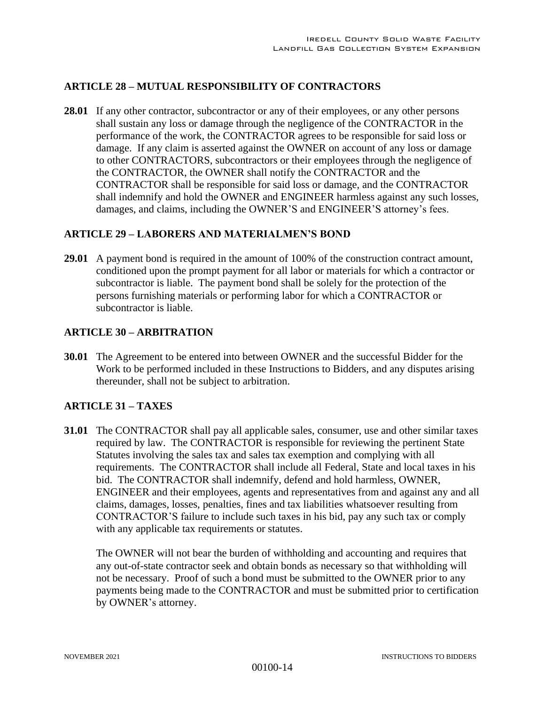# **ARTICLE 28 – MUTUAL RESPONSIBILITY OF CONTRACTORS**

**28.01** If any other contractor, subcontractor or any of their employees, or any other persons shall sustain any loss or damage through the negligence of the CONTRACTOR in the performance of the work, the CONTRACTOR agrees to be responsible for said loss or damage. If any claim is asserted against the OWNER on account of any loss or damage to other CONTRACTORS, subcontractors or their employees through the negligence of the CONTRACTOR, the OWNER shall notify the CONTRACTOR and the CONTRACTOR shall be responsible for said loss or damage, and the CONTRACTOR shall indemnify and hold the OWNER and ENGINEER harmless against any such losses, damages, and claims, including the OWNER'S and ENGINEER'S attorney's fees.

#### **ARTICLE 29 – LABORERS AND MATERIALMEN'S BOND**

**29.01** A payment bond is required in the amount of 100% of the construction contract amount, conditioned upon the prompt payment for all labor or materials for which a contractor or subcontractor is liable. The payment bond shall be solely for the protection of the persons furnishing materials or performing labor for which a CONTRACTOR or subcontractor is liable.

#### **ARTICLE 30 – ARBITRATION**

**30.01** The Agreement to be entered into between OWNER and the successful Bidder for the Work to be performed included in these Instructions to Bidders, and any disputes arising thereunder, shall not be subject to arbitration.

## **ARTICLE 31 – TAXES**

**31.01** The CONTRACTOR shall pay all applicable sales, consumer, use and other similar taxes required by law. The CONTRACTOR is responsible for reviewing the pertinent State Statutes involving the sales tax and sales tax exemption and complying with all requirements. The CONTRACTOR shall include all Federal, State and local taxes in his bid. The CONTRACTOR shall indemnify, defend and hold harmless, OWNER, ENGINEER and their employees, agents and representatives from and against any and all claims, damages, losses, penalties, fines and tax liabilities whatsoever resulting from CONTRACTOR'S failure to include such taxes in his bid, pay any such tax or comply with any applicable tax requirements or statutes.

The OWNER will not bear the burden of withholding and accounting and requires that any out-of-state contractor seek and obtain bonds as necessary so that withholding will not be necessary. Proof of such a bond must be submitted to the OWNER prior to any payments being made to the CONTRACTOR and must be submitted prior to certification by OWNER's attorney.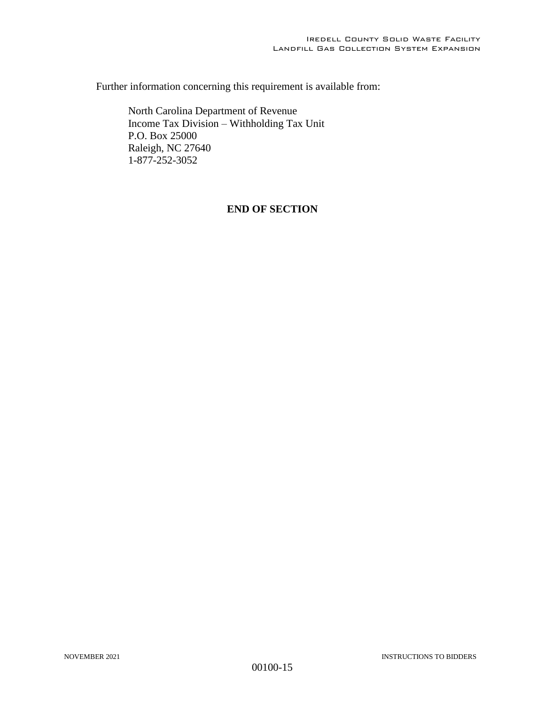Further information concerning this requirement is available from:

North Carolina Department of Revenue Income Tax Division – Withholding Tax Unit P.O. Box 25000 Raleigh, NC 27640 1-877-252-3052

## **END OF SECTION**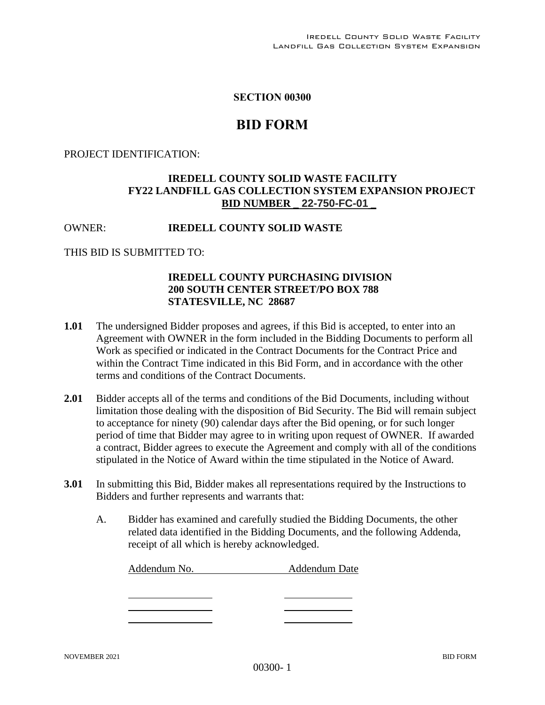#### **SECTION 00300**

# **BID FORM**

#### PROJECT IDENTIFICATION:

# **IREDELL COUNTY SOLID WASTE FACILITY FY22 LANDFILL GAS COLLECTION SYSTEM EXPANSION PROJECT BID NUMBER** \_ **22-750-FC-01** \_

# OWNER: **IREDELL COUNTY SOLID WASTE**

#### THIS BID IS SUBMITTED TO:

## **IREDELL COUNTY PURCHASING DIVISION 200 SOUTH CENTER STREET/PO BOX 788 STATESVILLE, NC 28687**

- **1.01** The undersigned Bidder proposes and agrees, if this Bid is accepted, to enter into an Agreement with OWNER in the form included in the Bidding Documents to perform all Work as specified or indicated in the Contract Documents for the Contract Price and within the Contract Time indicated in this Bid Form, and in accordance with the other terms and conditions of the Contract Documents.
- **2.01** Bidder accepts all of the terms and conditions of the Bid Documents, including without limitation those dealing with the disposition of Bid Security. The Bid will remain subject to acceptance for ninety (90) calendar days after the Bid opening, or for such longer period of time that Bidder may agree to in writing upon request of OWNER. If awarded a contract, Bidder agrees to execute the Agreement and comply with all of the conditions stipulated in the Notice of Award within the time stipulated in the Notice of Award.
- **3.01** In submitting this Bid, Bidder makes all representations required by the Instructions to Bidders and further represents and warrants that:
	- A. Bidder has examined and carefully studied the Bidding Documents, the other related data identified in the Bidding Documents, and the following Addenda, receipt of all which is hereby acknowledged.

| Addendum No. | <b>Addendum Date</b> |
|--------------|----------------------|
|              |                      |
|              |                      |
|              |                      |
|              |                      |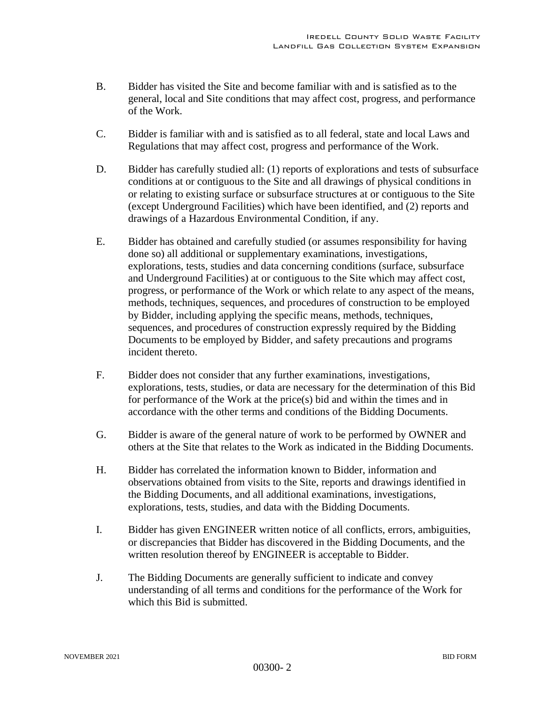- B. Bidder has visited the Site and become familiar with and is satisfied as to the general, local and Site conditions that may affect cost, progress, and performance of the Work.
- C. Bidder is familiar with and is satisfied as to all federal, state and local Laws and Regulations that may affect cost, progress and performance of the Work.
- D. Bidder has carefully studied all: (1) reports of explorations and tests of subsurface conditions at or contiguous to the Site and all drawings of physical conditions in or relating to existing surface or subsurface structures at or contiguous to the Site (except Underground Facilities) which have been identified, and (2) reports and drawings of a Hazardous Environmental Condition, if any.
- E. Bidder has obtained and carefully studied (or assumes responsibility for having done so) all additional or supplementary examinations, investigations, explorations, tests, studies and data concerning conditions (surface, subsurface and Underground Facilities) at or contiguous to the Site which may affect cost, progress, or performance of the Work or which relate to any aspect of the means, methods, techniques, sequences, and procedures of construction to be employed by Bidder, including applying the specific means, methods, techniques, sequences, and procedures of construction expressly required by the Bidding Documents to be employed by Bidder, and safety precautions and programs incident thereto.
- F. Bidder does not consider that any further examinations, investigations, explorations, tests, studies, or data are necessary for the determination of this Bid for performance of the Work at the price(s) bid and within the times and in accordance with the other terms and conditions of the Bidding Documents.
- G. Bidder is aware of the general nature of work to be performed by OWNER and others at the Site that relates to the Work as indicated in the Bidding Documents.
- H. Bidder has correlated the information known to Bidder, information and observations obtained from visits to the Site, reports and drawings identified in the Bidding Documents, and all additional examinations, investigations, explorations, tests, studies, and data with the Bidding Documents.
- I. Bidder has given ENGINEER written notice of all conflicts, errors, ambiguities, or discrepancies that Bidder has discovered in the Bidding Documents, and the written resolution thereof by ENGINEER is acceptable to Bidder.
- J. The Bidding Documents are generally sufficient to indicate and convey understanding of all terms and conditions for the performance of the Work for which this Bid is submitted.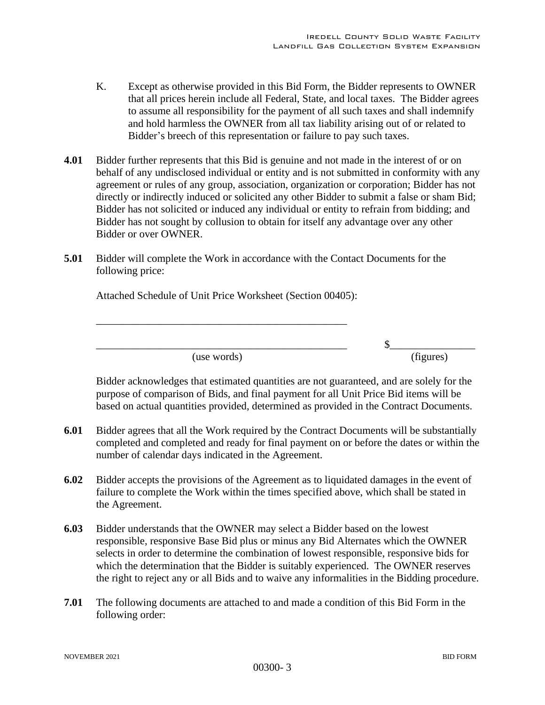- K. Except as otherwise provided in this Bid Form, the Bidder represents to OWNER that all prices herein include all Federal, State, and local taxes. The Bidder agrees to assume all responsibility for the payment of all such taxes and shall indemnify and hold harmless the OWNER from all tax liability arising out of or related to Bidder's breech of this representation or failure to pay such taxes.
- **4.01** Bidder further represents that this Bid is genuine and not made in the interest of or on behalf of any undisclosed individual or entity and is not submitted in conformity with any agreement or rules of any group, association, organization or corporation; Bidder has not directly or indirectly induced or solicited any other Bidder to submit a false or sham Bid; Bidder has not solicited or induced any individual or entity to refrain from bidding; and Bidder has not sought by collusion to obtain for itself any advantage over any other Bidder or over OWNER.
- **5.01** Bidder will complete the Work in accordance with the Contact Documents for the following price:

Attached Schedule of Unit Price Worksheet (Section 00405):

\_\_\_\_\_\_\_\_\_\_\_\_\_\_\_\_\_\_\_\_\_\_\_\_\_\_\_\_\_\_\_\_\_\_\_\_\_\_\_\_\_\_\_\_\_\_\_

\_\_\_\_\_\_\_\_\_\_\_\_\_\_\_\_\_\_\_\_\_\_\_\_\_\_\_\_\_\_\_\_\_\_\_\_\_\_\_\_\_\_\_\_\_\_\_ \$\_\_\_\_\_\_\_\_\_\_\_\_\_\_\_\_ (use words) (figures)

Bidder acknowledges that estimated quantities are not guaranteed, and are solely for the purpose of comparison of Bids, and final payment for all Unit Price Bid items will be based on actual quantities provided, determined as provided in the Contract Documents.

- **6.01** Bidder agrees that all the Work required by the Contract Documents will be substantially completed and completed and ready for final payment on or before the dates or within the number of calendar days indicated in the Agreement.
- **6.02** Bidder accepts the provisions of the Agreement as to liquidated damages in the event of failure to complete the Work within the times specified above, which shall be stated in the Agreement.
- **6.03** Bidder understands that the OWNER may select a Bidder based on the lowest responsible, responsive Base Bid plus or minus any Bid Alternates which the OWNER selects in order to determine the combination of lowest responsible, responsive bids for which the determination that the Bidder is suitably experienced. The OWNER reserves the right to reject any or all Bids and to waive any informalities in the Bidding procedure.
- **7.01** The following documents are attached to and made a condition of this Bid Form in the following order: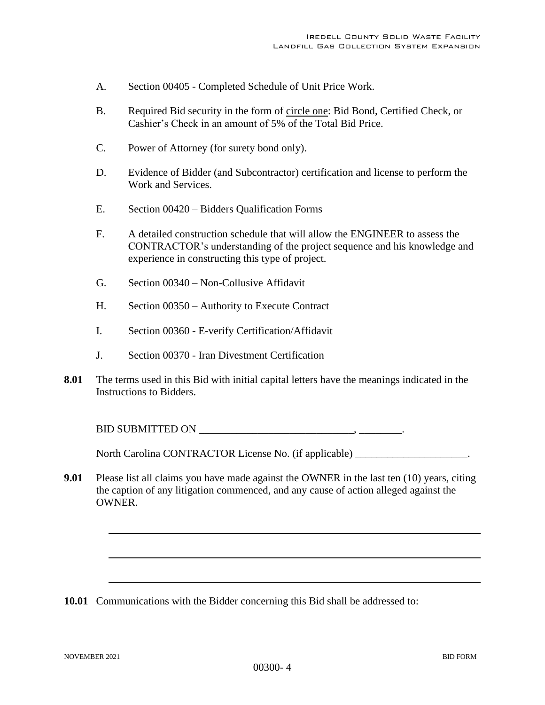- A. Section 00405 Completed Schedule of Unit Price Work.
- B. Required Bid security in the form of circle one: Bid Bond, Certified Check, or Cashier's Check in an amount of 5% of the Total Bid Price.
- C. Power of Attorney (for surety bond only).
- D. Evidence of Bidder (and Subcontractor) certification and license to perform the Work and Services.
- E. Section 00420 Bidders Qualification Forms
- F. A detailed construction schedule that will allow the ENGINEER to assess the CONTRACTOR's understanding of the project sequence and his knowledge and experience in constructing this type of project.
- G. Section 00340 Non-Collusive Affidavit
- H. Section 00350 Authority to Execute Contract
- I. Section 00360 E-verify Certification/Affidavit
- J. Section 00370 Iran Divestment Certification
- **8.01** The terms used in this Bid with initial capital letters have the meanings indicated in the Instructions to Bidders.

BID SUBMITTED ON \_\_\_\_\_\_\_\_\_\_\_\_\_\_\_\_\_\_\_\_\_\_\_\_\_\_\_\_\_, \_\_\_\_\_\_\_\_.

North Carolina CONTRACTOR License No. (if applicable) \_\_\_\_\_\_\_\_\_\_\_\_\_\_\_\_\_\_\_\_\_.

**9.01** Please list all claims you have made against the OWNER in the last ten (10) years, citing the caption of any litigation commenced, and any cause of action alleged against the OWNER.

**10.01** Communications with the Bidder concerning this Bid shall be addressed to: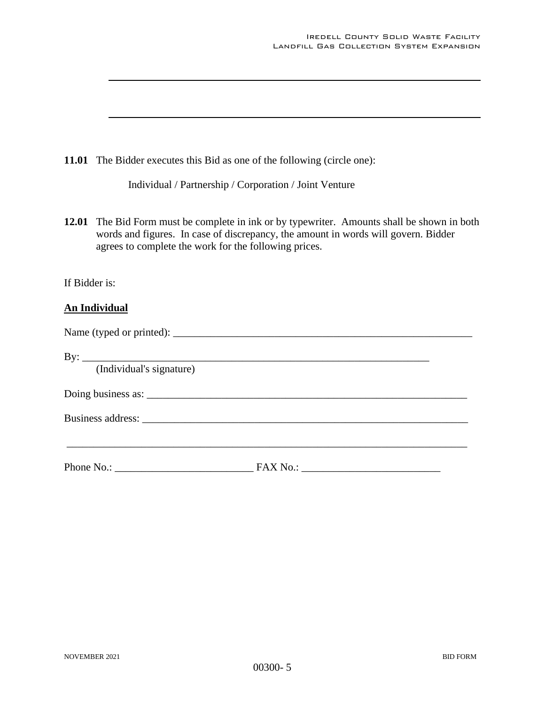|               | 11.01 The Bidder executes this Bid as one of the following (circle one):                                                                                                                                                                   |
|---------------|--------------------------------------------------------------------------------------------------------------------------------------------------------------------------------------------------------------------------------------------|
|               | Individual / Partnership / Corporation / Joint Venture                                                                                                                                                                                     |
|               | 12.01 The Bid Form must be complete in ink or by typewriter. Amounts shall be shown in both<br>words and figures. In case of discrepancy, the amount in words will govern. Bidder<br>agrees to complete the work for the following prices. |
| If Bidder is: |                                                                                                                                                                                                                                            |
|               | <b>An Individual</b>                                                                                                                                                                                                                       |
|               |                                                                                                                                                                                                                                            |
|               | By: $\frac{1}{\text{[Individual's signature]}}$                                                                                                                                                                                            |
|               |                                                                                                                                                                                                                                            |
|               |                                                                                                                                                                                                                                            |
|               |                                                                                                                                                                                                                                            |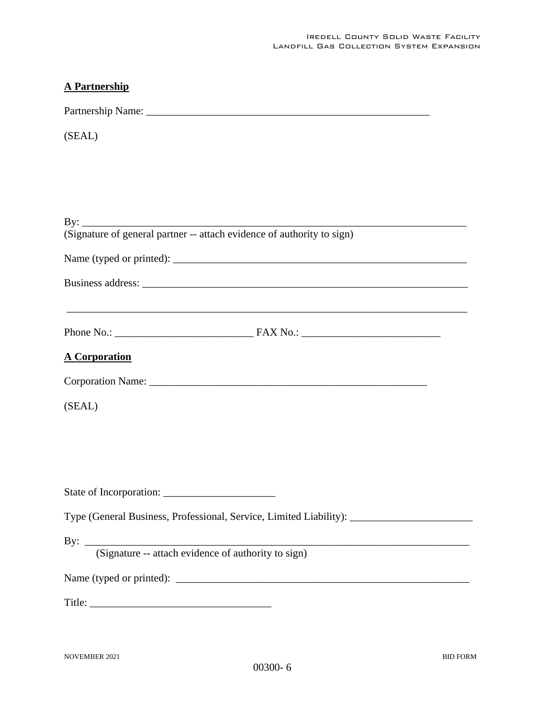# **A Partnership**

Partnership Name: \_\_\_\_\_\_\_\_\_\_\_\_\_\_\_\_\_\_\_\_\_\_\_\_\_\_\_\_\_\_\_\_\_\_\_\_\_\_\_\_\_\_\_\_\_\_\_\_\_\_\_\_\_

(SEAL)

| ,我们也不会有什么。""我们的人,我们也不会有什么?""我们的人,我们也不会有什么?""我们的人,我们也不会有什么?""我们的人,我们也不会有什么?""我们的人 |
|----------------------------------------------------------------------------------|
| <b>A Corporation</b>                                                             |
|                                                                                  |
| (SEAL)                                                                           |
|                                                                                  |
|                                                                                  |
|                                                                                  |
|                                                                                  |
|                                                                                  |
|                                                                                  |
| By: <u>(Signature -- attach evidence of authority to sign)</u>                   |
|                                                                                  |
|                                                                                  |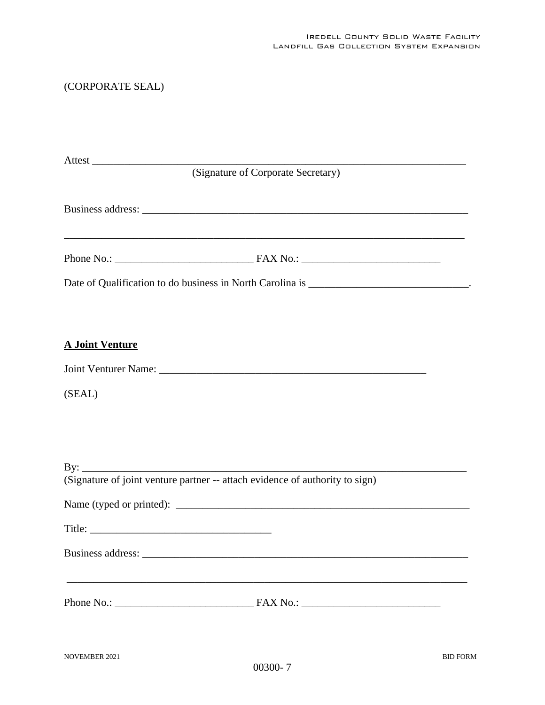# (CORPORATE SEAL)

|                                                                              | (Signature of Corporate Secretary)                                                                                                                    |
|------------------------------------------------------------------------------|-------------------------------------------------------------------------------------------------------------------------------------------------------|
|                                                                              |                                                                                                                                                       |
|                                                                              |                                                                                                                                                       |
|                                                                              | Date of Qualification to do business in North Carolina is ______________________________.                                                             |
| <b>A Joint Venture</b>                                                       |                                                                                                                                                       |
|                                                                              |                                                                                                                                                       |
| (SEAL)                                                                       |                                                                                                                                                       |
|                                                                              |                                                                                                                                                       |
| (Signature of joint venture partner -- attach evidence of authority to sign) |                                                                                                                                                       |
|                                                                              |                                                                                                                                                       |
|                                                                              |                                                                                                                                                       |
|                                                                              |                                                                                                                                                       |
|                                                                              | ,我们也不能在这里的时候,我们也不能在这里的时候,我们也不能在这里的时候,我们也不能会不能会不能会不能会不能会不能会不能会不能会。<br>第2012章 我们的时候,我们的时候,我们的时候,我们的时候,我们的时候,我们的时候,我们的时候,我们的时候,我们的时候,我们的时候,我们的时候,我们的时候,我 |
|                                                                              |                                                                                                                                                       |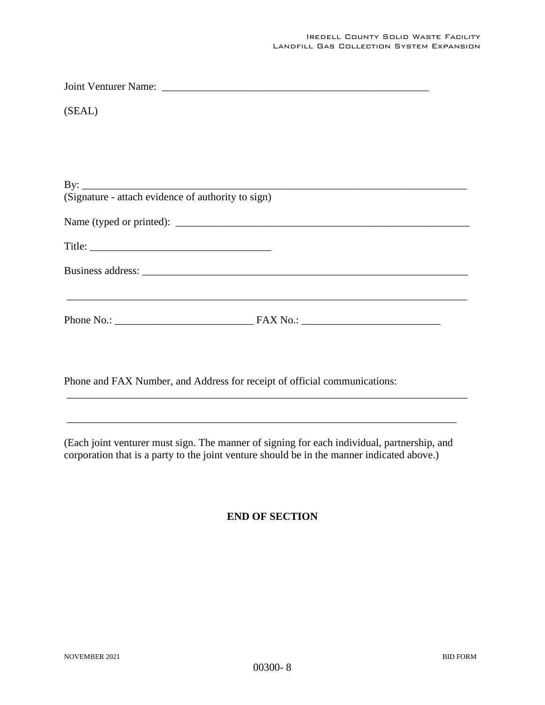| (SEAL)                                             |  |
|----------------------------------------------------|--|
|                                                    |  |
|                                                    |  |
|                                                    |  |
| (Signature - attach evidence of authority to sign) |  |
| Name (typed or printed):                           |  |
|                                                    |  |
|                                                    |  |
|                                                    |  |
|                                                    |  |
|                                                    |  |

Phone and FAX Number, and Address for receipt of official communications:

(Each joint venturer must sign. The manner of signing for each individual, partnership, and corporation that is a party to the joint venture should be in the manner indicated above.)

\_\_\_\_\_\_\_\_\_\_\_\_\_\_\_\_\_\_\_\_\_\_\_\_\_\_\_\_\_\_\_\_\_\_\_\_\_\_\_\_\_\_\_\_\_\_\_\_\_\_\_\_\_\_\_\_\_\_\_\_\_\_\_\_\_\_\_\_\_\_\_\_\_

\_\_\_\_\_\_\_\_\_\_\_\_\_\_\_\_\_\_\_\_\_\_\_\_\_\_\_\_\_\_\_\_\_\_\_\_\_\_\_\_\_\_\_\_\_\_\_\_\_\_\_\_\_\_\_\_\_\_\_\_\_\_\_\_\_\_\_\_\_\_\_\_\_\_\_

# **END OF SECTION**